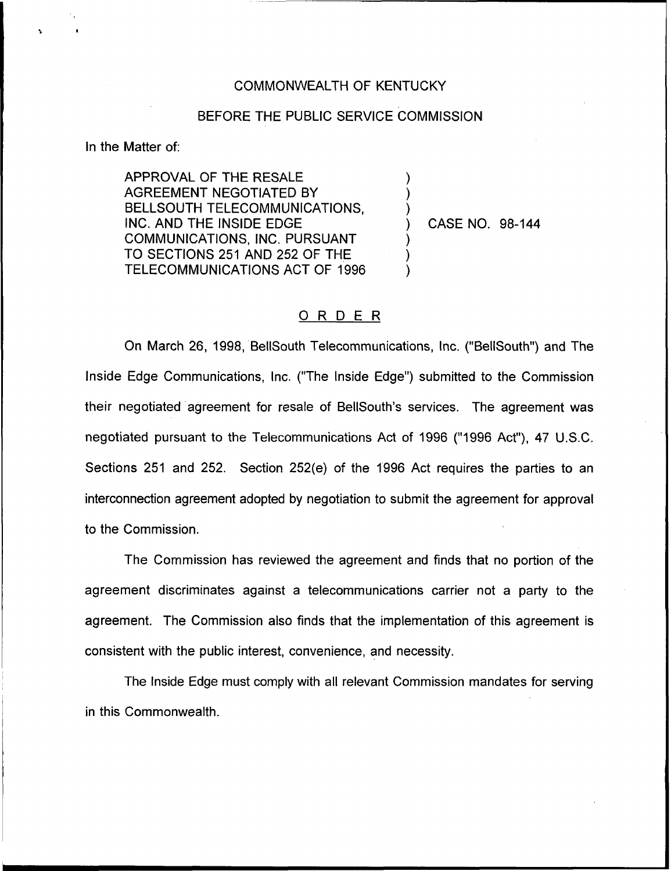## COMMONWEALTH OF KENTUCKY

## BEFORE THE PUBLIC SERVICE COMMISSION

) ) )

) ) )

In the Matter of:

APPROVAL OF THE RESALE AGREEMENT NEGOTIATED BY BELLSOUTH TELECOMMUNICATIONS, INC. AND THE INSIDE EDGE COMMUNICATIONS, INC. PURSUANT TO SECTIONS 251 AND 252 OF THE TELECOMMUNICATIONS ACT OF 1996

) CASE NO. 98-144

## 0 <sup>R</sup> <sup>D</sup> <sup>E</sup> <sup>R</sup>

On March 26, 1998, BellSouth Telecommunications, lnc. ("BellSouth") and The Inside Edge Communications, Inc. ("The Inside Edge") submitted to the Commissio their negotiated agreement for resale of BelISouth's services. The agreement was negotiated pursuant to the Telecommunications Act of 1996 ("1996 Act"), 47 U.S.C. Sections 251 and 252. Section 252(e) of the 1996 Act requires the parties to an interconnection agreement adopted by negotiation to submit the agreement for approval to the Commission.

The Commission has reviewed the agreement and finds that no portion of the agreement discriminates against a telecommunications carrier not a party to the agreement. The Commission also finds that the implementation of this agreement is consistent with the public interest, convenience, and necessity.

The Inside Edge must comply with all relevant Commission mandates for serving in this Commonwealth.